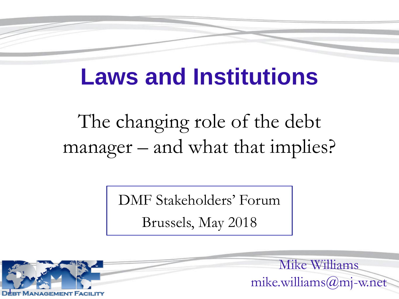### **Laws and Institutions**

The changing role of the debt manager – and what that implies?

DMF Stakeholders' Forum

Brussels, May 2018



Mike Williams mike.williams@mj-w.net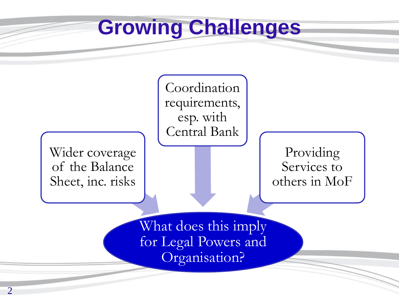### **Growing Challenges**

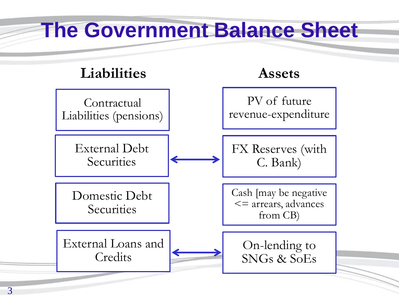### **The Government Balance Sheet Liabilities Assets** Contractual Liabilities (pensions) External Debt **Securities** Domestic Debt **Securities** External Loans and **Credits** PV of future revenue-expenditure FX Reserves (with C. Bank) Cash [may be negative <= arrears, advances from CB) On-lending to SNGs & SoEs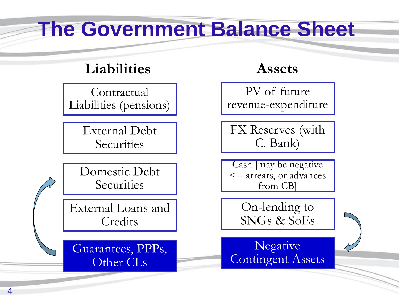### **The Government Balance Sheet**

### **Liabilities Assets**

Contractual Liabilities (pensions)

> External Debt **Securities**

Domestic Debt **Securities** 

External Loans and **Credits** 

Guarantees, PPPs, Other CLs

PV of future revenue-expenditure

FX Reserves (with C. Bank)

Cash [may be negative <= arrears, or advances from CB]

On-lending to SNGs & SoEs

Negative Contingent Assets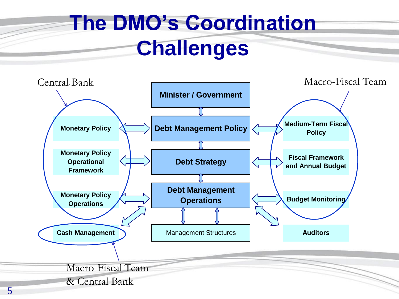### **The DMO's Coordination Challenges**

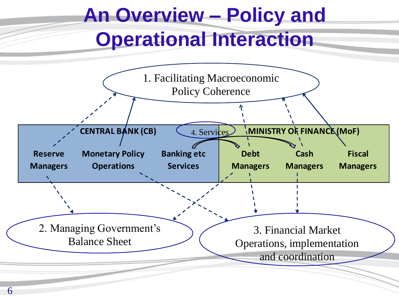# **An Overview – Policy and Operational Interaction**

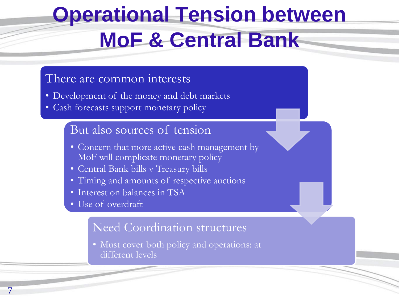# **Operational Tension between MoF & Central Bank**

#### There are common interests

- Development of the money and debt markets
- Cash forecasts support monetary policy

#### But also sources of tension

- Concern that more active cash management by MoF will complicate monetary policy
- Central Bank bills v Treasury bills
- Timing and amounts of respective auctions
- Interest on balances in TSA
- Use of overdraft

7

#### Need Coordination structures

• Must cover both policy and operations: at different levels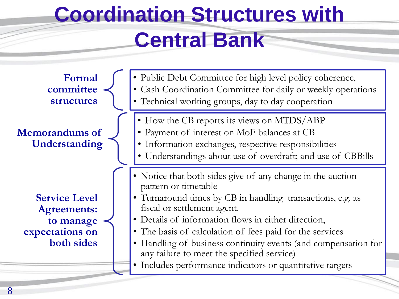## **Coordination Structures with Central Bank**

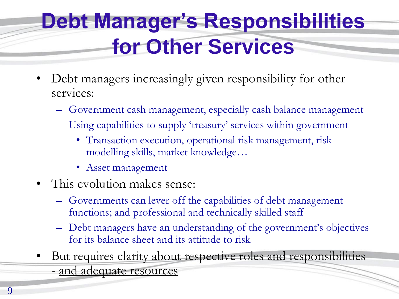### **Debt Manager's Responsibilities for Other Services**

- Debt managers increasingly given responsibility for other services:
	- Government cash management, especially cash balance management
	- Using capabilities to supply 'treasury' services within government
		- Transaction execution, operational risk management, risk modelling skills, market knowledge…
		- Asset management
- This evolution makes sense:
	- Governments can lever off the capabilities of debt management functions; and professional and technically skilled staff
	- Debt managers have an understanding of the government's objectives for its balance sheet and its attitude to risk
- But requires clarity about respective roles and responsibilities - and adequate resources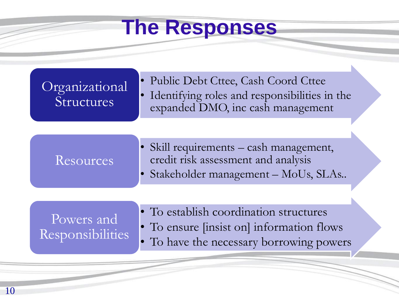### **The Responses**

| Organizational<br>Structures          | • Public Debt Cttee, Cash Coord Cttee<br>Identifying roles and responsibilities in the<br>expanded DMO, inc cash management            |
|---------------------------------------|----------------------------------------------------------------------------------------------------------------------------------------|
| Resources                             | Skill requirements – cash management,<br>credit risk assessment and analysis<br>Stakeholder management – MoUs, SLAs                    |
| Powers and<br><b>Responsibilities</b> | • To establish coordination structures<br>• To ensure <i>[insist on]</i> information flows<br>• To have the necessary borrowing powers |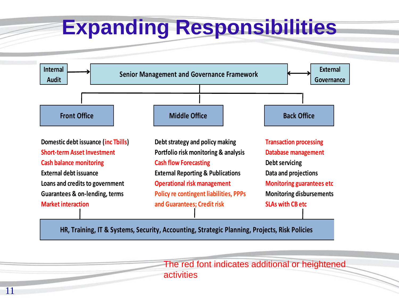### **Expanding Responsibilities**



**HR, Training, IT & Systems, Security, Accounting, Strategic Planning, Projects, Risk Policies HR, Training, IT & Systems, Security, Accounting, Strategic Planning, Projects, Risk Policies**

11

The red font indicates additional or heightened activities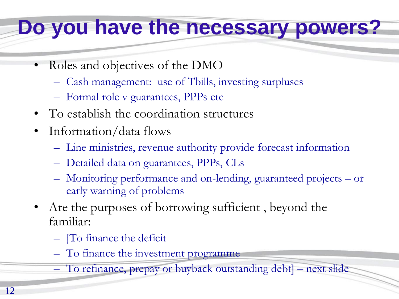### **Do you have the necessary powers?**

- Roles and objectives of the DMO
	- Cash management: use of Tbills, investing surpluses
	- Formal role v guarantees, PPPs etc
- To establish the coordination structures
- Information/data flows
	- Line ministries, revenue authority provide forecast information
	- Detailed data on guarantees, PPPs, CLs
	- Monitoring performance and on-lending, guaranteed projects or early warning of problems
- Are the purposes of borrowing sufficient, beyond the familiar:
	- [To finance the deficit
	- To finance the investment programme
	- To refinance, prepay or buyback outstanding debt] next slide